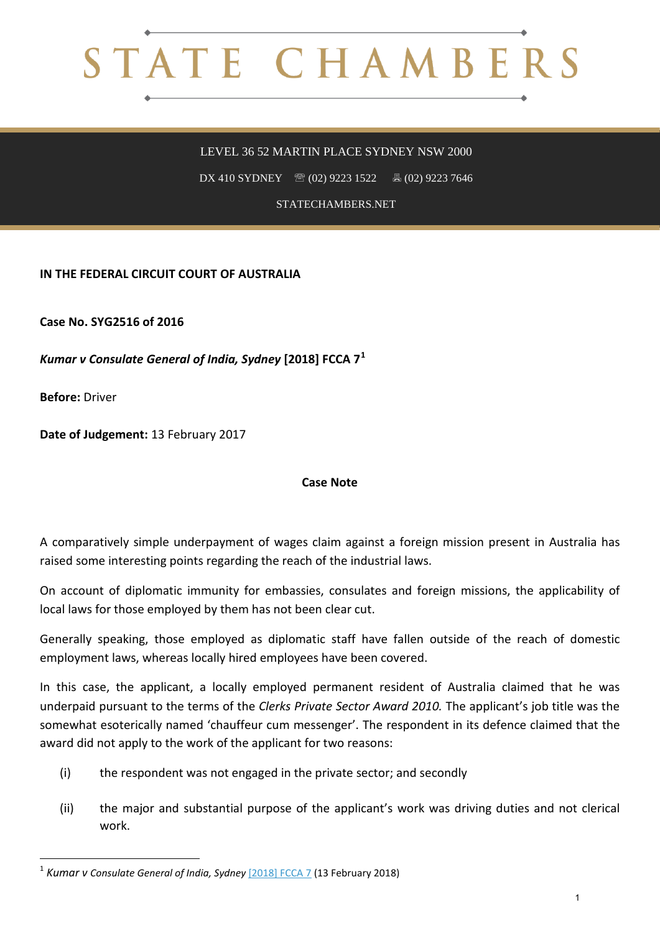## STATE CHAMBERS

## LEVEL 36 52 MARTIN PLACE SYDNEY NSW 2000

DX 410 SYDNEY <sup>8</sup> (02) 9223 1522 **8** (02) 9223 7646

STATECHAMBERS.NET

**IN THE FEDERAL CIRCUIT COURT OF AUSTRALIA**

**Case No. SYG2516 of 2016**

*Kumar v Consulate General of India, Sydney* **[2018] FCCA 7[1](#page-0-0)**

**Before:** Driver

**.** 

**Date of Judgement:** 13 February 2017

## **Case Note**

A comparatively simple underpayment of wages claim against a foreign mission present in Australia has raised some interesting points regarding the reach of the industrial laws.

On account of diplomatic immunity for embassies, consulates and foreign missions, the applicability of local laws for those employed by them has not been clear cut.

Generally speaking, those employed as diplomatic staff have fallen outside of the reach of domestic employment laws, whereas locally hired employees have been covered.

In this case, the applicant, a locally employed permanent resident of Australia claimed that he was underpaid pursuant to the terms of the *Clerks Private Sector Award 2010.* The applicant's job title was the somewhat esoterically named 'chauffeur cum messenger'. The respondent in its defence claimed that the award did not apply to the work of the applicant for two reasons:

- (i) the respondent was not engaged in the private sector; and secondly
- (ii) the major and substantial purpose of the applicant's work was driving duties and not clerical work.

<span id="page-0-0"></span><sup>&</sup>lt;sup>1</sup> *Kumar v Consulate General of India, Sydney* [\[2018\] FCCA 7](http://www.austlii.edu.au/cgi-bin/viewdoc/au/cases/cth/FCCA/2018/7.html) (13 February 2018)